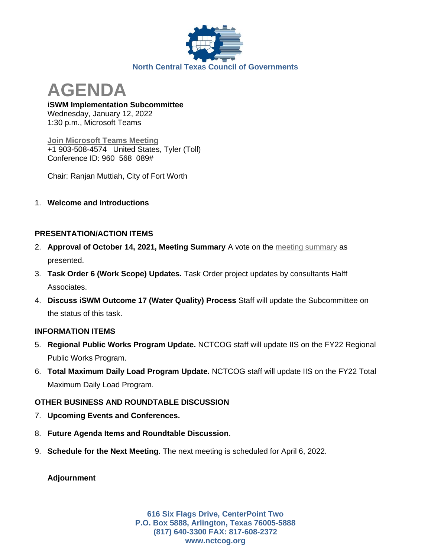

**AGENDA**

**iSWM Implementation Subcommittee** Wednesday, January 12, 2022 1:30 p.m., Microsoft Teams

**[Join Microsoft Teams Meeting](https://teams.microsoft.com/dl/launcher/launcher.html?url=%2F_%23%2Fl%2Fmeetup-join%2F19%3Ameeting_ZWEwYjhjZTctNzZkMy00ZTk1LTk1NDItN2Q0ZjkxYTg2OWRj%40thread.v2%2F0%3Fcontext%3D%257b%2522Tid%2522%253a%25222f5e7ebc-22b0-4fbe-934c-aabddb4e29b1%2522%252c%2522Oid%2522%253a%2522e36755e2-eefa-4b02-b9cc-4498875cd36a%2522%257d%26anon%3Dtrue&type=meetup-join&deeplinkId=7ed837ba-0565-470a-aad2-6c43618ba8e2&directDl=true&msLaunch=true&enableMobilePage=true&suppressPrompt=true)** +1 903-508-4574 United States, Tyler (Toll) Conference ID: 960 568 089#

Chair: Ranjan Muttiah, City of Fort Worth

1. **Welcome and Introductions**

## **PRESENTATION/ACTION ITEMS**

- 2. **Approval of October 14, 2021, Meeting Summary** A vote on the [meeting summary](https://www.nctcog.org/nctcg/media/Environment-and-Development/Committee%20Documents/iSWM/FY2022/Draft-10-14-21-Summary.pdf?ext=.pdf) as presented.
- 3. **Task Order 6 (Work Scope) Updates.** Task Order project updates by consultants Halff Associates.
- 4. **Discuss iSWM Outcome 17 (Water Quality) Process** Staff will update the Subcommittee on the status of this task.

## **INFORMATION ITEMS**

- 5. **Regional Public Works Program Update.** NCTCOG staff will update IIS on the FY22 Regional Public Works Program.
- 6. **Total Maximum Daily Load Program Update.** NCTCOG staff will update IIS on the FY22 Total Maximum Daily Load Program.

## **OTHER BUSINESS AND ROUNDTABLE DISCUSSION**

- 7. **Upcoming Events and Conferences.**
- 8. **Future Agenda Items and Roundtable Discussion**.
- 9. **Schedule for the Next Meeting**. The next meeting is scheduled for April 6, 2022.

**Adjournment**

**616 Six Flags Drive, CenterPoint Two P.O. Box 5888, Arlington, Texas 76005-5888 (817) 640-3300 FAX: 817-608-2372 www.nctcog.org**